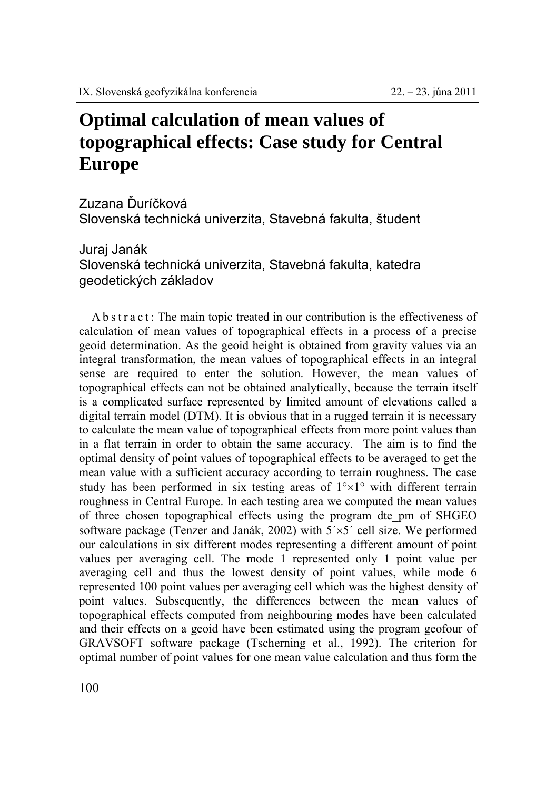## **Optimal calculation of mean values of topographical effects: Case study for Central Europe**

Zuzana Ďuríčková

Slovenská technická univerzita, Stavebná fakulta, študent

Juraj Janák Slovenská technická univerzita, Stavebná fakulta, katedra geodetických základov

A b s t r a c t : The main topic treated in our contribution is the effectiveness of calculation of mean values of topographical effects in a process of a precise geoid determination. As the geoid height is obtained from gravity values via an integral transformation, the mean values of topographical effects in an integral sense are required to enter the solution. However, the mean values of topographical effects can not be obtained analytically, because the terrain itself is a complicated surface represented by limited amount of elevations called a digital terrain model (DTM). It is obvious that in a rugged terrain it is necessary to calculate the mean value of topographical effects from more point values than in a flat terrain in order to obtain the same accuracy. The aim is to find the optimal density of point values of topographical effects to be averaged to get the mean value with a sufficient accuracy according to terrain roughness. The case study has been performed in six testing areas of  $1^{\circ} \times 1^{\circ}$  with different terrain roughness in Central Europe. In each testing area we computed the mean values of three chosen topographical effects using the program dte\_pm of SHGEO software package (Tenzer and Janák, 2002) with  $5 \times 5'$  cell size. We performed our calculations in six different modes representing a different amount of point values per averaging cell. The mode 1 represented only 1 point value per averaging cell and thus the lowest density of point values, while mode 6 represented 100 point values per averaging cell which was the highest density of point values. Subsequently, the differences between the mean values of topographical effects computed from neighbouring modes have been calculated and their effects on a geoid have been estimated using the program geofour of GRAVSOFT software package (Tscherning et al., 1992). The criterion for optimal number of point values for one mean value calculation and thus form the